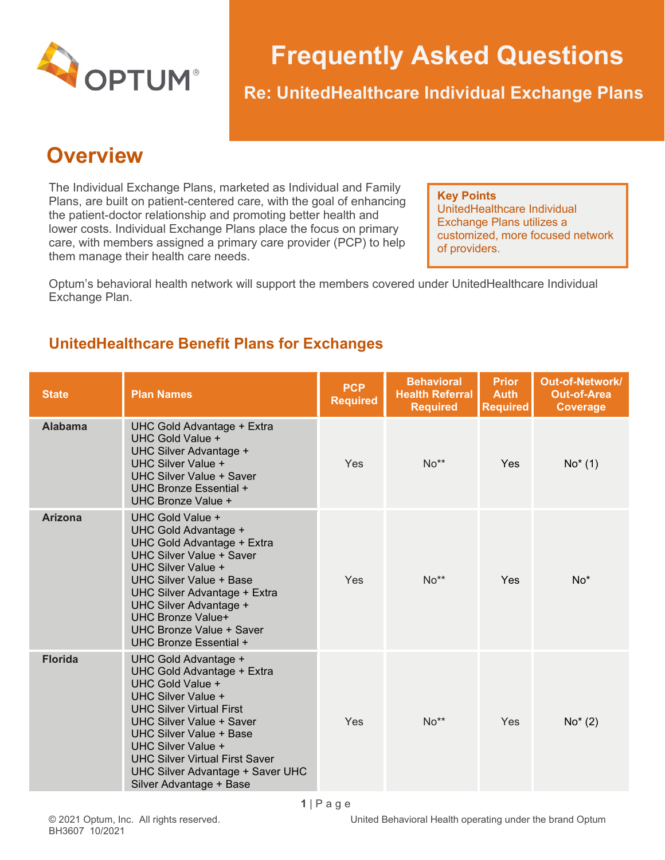

# **Frequently Asked Questions**

**Re: UnitedHealthcare Individual Exchange Plans**

## **Overview**

The Individual Exchange Plans, marketed as Individual and Family Plans, are built on patient-centered care, with the goal of enhancing the patient-doctor relationship and promoting better health and lower costs. Individual Exchange Plans place the focus on primary care, with members assigned a primary care provider (PCP) to help them manage their health care needs.

**Key Points** UnitedHealthcare Individual Exchange Plans utilizes a customized, more focused network of providers.

Optum's behavioral health network will support the members covered under UnitedHealthcare Individual Exchange Plan.

### **UnitedHealthcare Benefit Plans for Exchanges**

| <b>State</b>   | <b>Plan Names</b>                                                                                                                                                                                                                                                                                                                  | <b>PCP</b><br><b>Required</b> | <b>Behavioral</b><br><b>Health Referral</b><br><b>Required</b> | <b>Prior</b><br><b>Auth</b><br><b>Required</b> | Out-of-Network/<br><b>Out-of-Area</b><br>Coverage |
|----------------|------------------------------------------------------------------------------------------------------------------------------------------------------------------------------------------------------------------------------------------------------------------------------------------------------------------------------------|-------------------------------|----------------------------------------------------------------|------------------------------------------------|---------------------------------------------------|
| <b>Alabama</b> | UHC Gold Advantage + Extra<br>UHC Gold Value +<br>UHC Silver Advantage +<br>UHC Silver Value +<br><b>UHC Silver Value + Saver</b><br>UHC Bronze Essential +<br>UHC Bronze Value +                                                                                                                                                  | Yes                           | $No**$                                                         | Yes                                            | $No*(1)$                                          |
| <b>Arizona</b> | UHC Gold Value +<br>UHC Gold Advantage +<br>UHC Gold Advantage + Extra<br><b>UHC Silver Value + Saver</b><br>UHC Silver Value +<br><b>UHC Silver Value + Base</b><br>UHC Silver Advantage + Extra<br>UHC Silver Advantage +<br><b>UHC Bronze Value+</b><br>UHC Bronze Value + Saver<br>UHC Bronze Essential +                      | Yes                           | $No**$                                                         | Yes                                            | $No*$                                             |
| <b>Florida</b> | UHC Gold Advantage +<br>UHC Gold Advantage + Extra<br>UHC Gold Value +<br>UHC Silver Value +<br><b>UHC Silver Virtual First</b><br><b>UHC Silver Value + Saver</b><br><b>UHC Silver Value + Base</b><br>UHC Silver Value +<br><b>UHC Silver Virtual First Saver</b><br>UHC Silver Advantage + Saver UHC<br>Silver Advantage + Base | Yes                           | $No**$                                                         | Yes                                            | $No*(2)$                                          |

© 2021 Optum, Inc. All rights reserved. United Behavioral Health operating under the brand Optum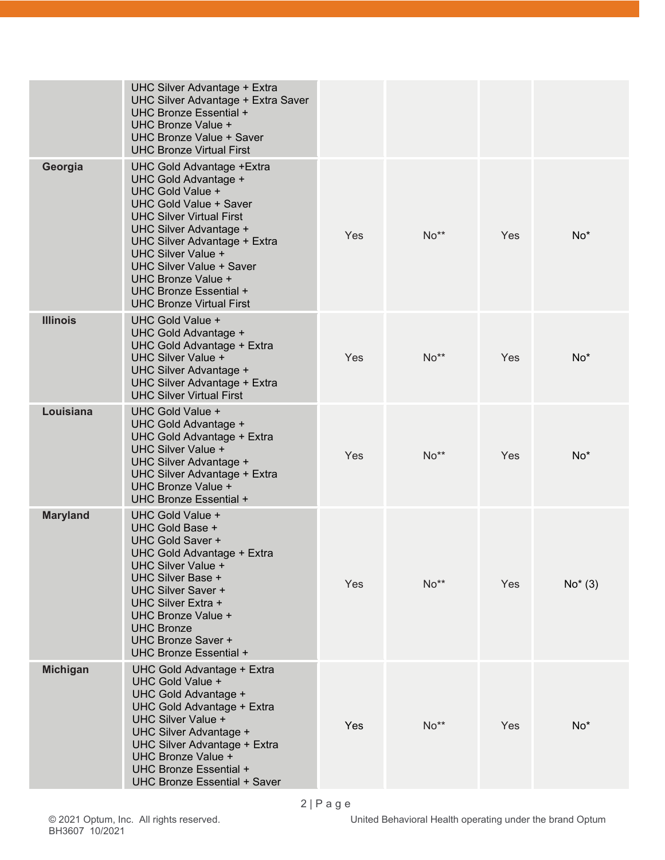|                 | UHC Silver Advantage + Extra<br>UHC Silver Advantage + Extra Saver<br>UHC Bronze Essential +<br><b>UHC Bronze Value +</b><br><b>UHC Bronze Value + Saver</b><br><b>UHC Bronze Virtual First</b>                                                                                                                                                        |     |        |            |          |
|-----------------|--------------------------------------------------------------------------------------------------------------------------------------------------------------------------------------------------------------------------------------------------------------------------------------------------------------------------------------------------------|-----|--------|------------|----------|
| Georgia         | <b>UHC Gold Advantage +Extra</b><br>UHC Gold Advantage +<br>UHC Gold Value +<br><b>UHC Gold Value + Saver</b><br><b>UHC Silver Virtual First</b><br>UHC Silver Advantage +<br>UHC Silver Advantage + Extra<br>UHC Silver Value +<br><b>UHC Silver Value + Saver</b><br>UHC Bronze Value +<br>UHC Bronze Essential +<br><b>UHC Bronze Virtual First</b> | Yes | $No**$ | Yes        | $No*$    |
| <b>Illinois</b> | UHC Gold Value +<br>UHC Gold Advantage +<br>UHC Gold Advantage + Extra<br>UHC Silver Value +<br>UHC Silver Advantage +<br>UHC Silver Advantage + Extra<br><b>UHC Silver Virtual First</b>                                                                                                                                                              | Yes | No**   | <b>Yes</b> | $No*$    |
| Louisiana       | UHC Gold Value +<br>UHC Gold Advantage +<br>UHC Gold Advantage + Extra<br>UHC Silver Value +<br>UHC Silver Advantage +<br>UHC Silver Advantage + Extra<br>UHC Bronze Value +<br>UHC Bronze Essential +                                                                                                                                                 | Yes | $No**$ | Yes        | $No*$    |
| <b>Maryland</b> | UHC Gold Value +<br>UHC Gold Base +<br>UHC Gold Saver +<br>UHC Gold Advantage + Extra<br>UHC Silver Value +<br>UHC Silver Base +<br>UHC Silver Saver +<br>UHC Silver Extra +<br>UHC Bronze Value +<br><b>UHC Bronze</b><br>UHC Bronze Saver +<br>UHC Bronze Essential +                                                                                | Yes | No**   | Yes        | $No*(3)$ |
| <b>Michigan</b> | UHC Gold Advantage + Extra<br>UHC Gold Value +<br>UHC Gold Advantage +<br>UHC Gold Advantage + Extra<br>UHC Silver Value +<br>UHC Silver Advantage +<br>UHC Silver Advantage + Extra<br>UHC Bronze Value +<br>UHC Bronze Essential +<br><b>UHC Bronze Essential + Saver</b>                                                                            | Yes | $No**$ | Yes        | $No*$    |

United Behavioral Health operating under the brand Optum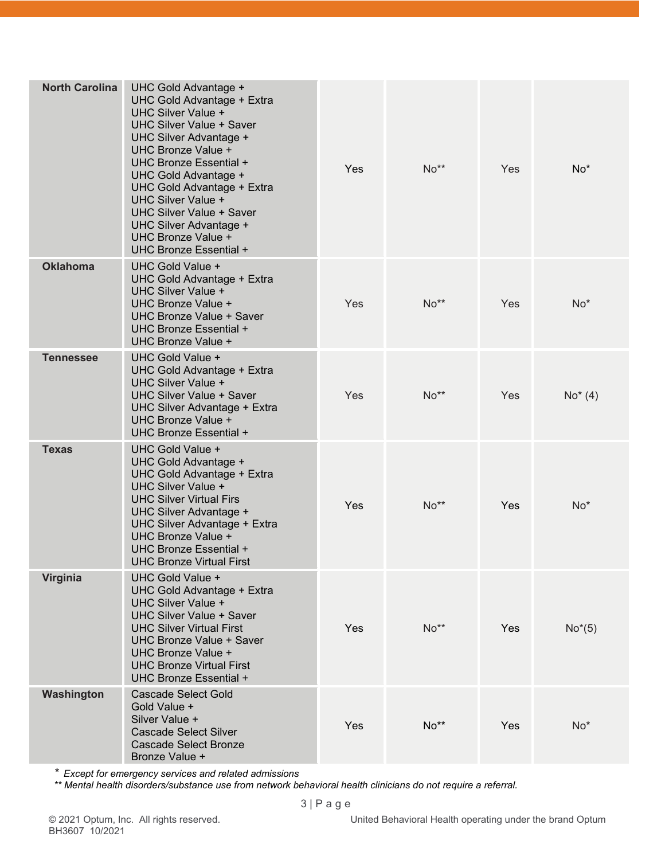| <b>North Carolina</b> | UHC Gold Advantage +<br>UHC Gold Advantage + Extra<br>UHC Silver Value +<br><b>UHC Silver Value + Saver</b><br>UHC Silver Advantage +<br>UHC Bronze Value +<br>UHC Bronze Essential +<br>UHC Gold Advantage +<br>UHC Gold Advantage + Extra<br>UHC Silver Value +<br><b>UHC Silver Value + Saver</b><br>UHC Silver Advantage +<br>UHC Bronze Value +<br>UHC Bronze Essential + | Yes        | $No**$ | Yes | $No*$    |
|-----------------------|--------------------------------------------------------------------------------------------------------------------------------------------------------------------------------------------------------------------------------------------------------------------------------------------------------------------------------------------------------------------------------|------------|--------|-----|----------|
| <b>Oklahoma</b>       | UHC Gold Value +<br>UHC Gold Advantage + Extra<br>UHC Silver Value +<br>UHC Bronze Value +<br>UHC Bronze Value + Saver<br>UHC Bronze Essential +<br>UHC Bronze Value +                                                                                                                                                                                                         | Yes        | No**   | Yes | $No*$    |
| <b>Tennessee</b>      | UHC Gold Value +<br>UHC Gold Advantage + Extra<br>UHC Silver Value +<br><b>UHC Silver Value + Saver</b><br>UHC Silver Advantage + Extra<br>UHC Bronze Value +<br>UHC Bronze Essential +                                                                                                                                                                                        | Yes        | No**   | Yes | $No*(4)$ |
| <b>Texas</b>          | UHC Gold Value +<br>UHC Gold Advantage +<br>UHC Gold Advantage + Extra<br>UHC Silver Value +<br><b>UHC Silver Virtual Firs</b><br>UHC Silver Advantage +<br>UHC Silver Advantage + Extra<br>UHC Bronze Value +<br><b>UHC Bronze Essential +</b><br>UHC Bronze Virtual First                                                                                                    | Yes        | No**   | Yes | $No*$    |
| Virginia              | UHC Gold Value +<br><b>UHC Gold Advantage + Extra</b><br>UHC Silver Value +<br><b>UHC Silver Value + Saver</b><br><b>UHC Silver Virtual First</b><br>UHC Bronze Value + Saver<br>UHC Bronze Value +<br><b>UHC Bronze Virtual First</b><br>UHC Bronze Essential +                                                                                                               | <b>Yes</b> | $No**$ | Yes | $No*(5)$ |
| Washington            | <b>Cascade Select Gold</b><br>Gold Value +<br>Silver Value +<br><b>Cascade Select Silver</b><br><b>Cascade Select Bronze</b><br>Bronze Value +                                                                                                                                                                                                                                 | Yes        | $No**$ | Yes | $No*$    |

*\* Except for emergency services and related admissions*

*\*\* Mental health disorders/substance use from network behavioral health clinicians do not require a referral.*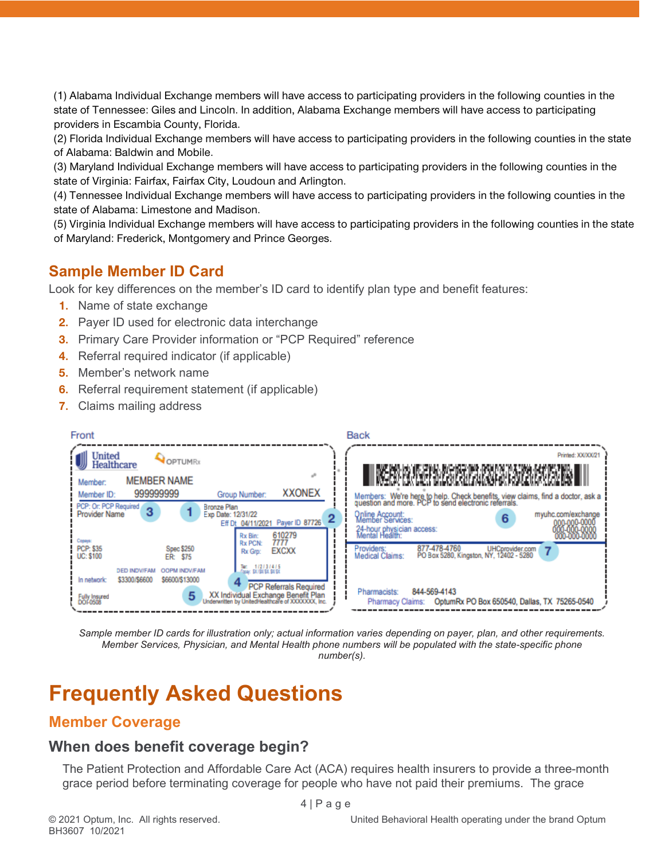(1) Alabama Individual Exchange members will have access to participating providers in the following counties in the state of Tennessee: Giles and Lincoln. In addition, Alabama Exchange members will have access to participating providers in Escambia County, Florida.

(2) Florida Individual Exchange members will have access to participating providers in the following counties in the state of Alabama: Baldwin and Mobile.

(3) Maryland Individual Exchange members will have access to participating providers in the following counties in the state of Virginia: Fairfax, Fairfax City, Loudoun and Arlington.

(4) Tennessee Individual Exchange members will have access to participating providers in the following counties in the state of Alabama: Limestone and Madison.

(5) Virginia Individual Exchange members will have access to participating providers in the following counties in the state of Maryland: Frederick, Montgomery and Prince Georges.

### **Sample Member ID Card**

Look for key differences on the member's ID card to identify plan type and benefit features:

- **1.** Name of state exchange
- **2.** Payer ID used for electronic data interchange
- **3.** Primary Care Provider information or "PCP Required" reference
- **4.** Referral required indicator (if applicable)
- **5.** Member's network name
- **6.** Referral requirement statement (if applicable)
- **7.** Claims mailing address

| Front                                                                                                                                                                                                                                                                                                                                                                                                                                                                              | <b>Back</b>                                                                                                                                                                                                                                                                                                                                                                                                                                                                            |
|------------------------------------------------------------------------------------------------------------------------------------------------------------------------------------------------------------------------------------------------------------------------------------------------------------------------------------------------------------------------------------------------------------------------------------------------------------------------------------|----------------------------------------------------------------------------------------------------------------------------------------------------------------------------------------------------------------------------------------------------------------------------------------------------------------------------------------------------------------------------------------------------------------------------------------------------------------------------------------|
| United<br>OPTUMRx<br>Healthcare<br><b>MEMBER NAME</b><br>Member:<br><b>XXONEX</b><br>999999999<br>Group Number:<br>Member ID:<br>PCP: Or: PCP Required<br><b>Bronze Plan</b><br>3<br><b>Provider Name</b><br>Exp Date: 12/31/22<br>Payer ID 87726<br>Eff Dt 04/11/2021                                                                                                                                                                                                             | Printed: XX/XX/21<br>II, RAME BOOK, HAN DIRECEPULAT, BUSH KAEP DIAPI TARAH PORTI PA ADAMA A AWAY DIRECEPULAT.<br>II, KAEL HAN DIRECEPULAT, HAN A KAEP KAEP A AWAY A AWAY A SA AWAY DIRECEPULAT.<br>Members: We're here to help. Check benefits, view claims, find a doctor, ask a question and more. PCP to send electronic referrals.<br>Online Account:<br>Member Services:<br>myuhc.com/exchange<br>6<br>000-000-0000<br>20-000-0000<br>24-hour physician access:<br>Mental Health: |
| 610279<br>Rx Bin:<br>Сараув:<br>7777<br><b>Rx PCN:</b><br><b>PCP: \$35</b><br><b>Spec \$250</b><br><b>EXCXX</b><br>Rx Grp:<br><b>UC: \$100</b><br>ER: \$75<br>Tier: 1/2/3/4/5<br>Frank: \$X/\$N/\$X.\$X/\$X<br><b>DED INDV/FAM</b><br><b>OOPM INDV/FAM</b><br>\$3300/\$6600<br>\$6600/\$13000<br>In network:<br><b>PCP Referrals Required</b><br>XX Individual Exchange Benefit Plan<br>Underwritten by UnitedHealthcare of XXXXXXXX, Inc.<br>5<br><b>Fully Insured</b><br>DOF0508 | 877-478-4760<br>Providers:<br>UHCprovider.com<br>$\overline{7}$<br>PO Box 5280, Kingston, NY, 12402 - 5280<br>Medical Claims:<br>844-569-4143<br>Pharmacists:<br>OptumRx PO Box 650540, Dallas, TX 75265-0540<br>Pharmacy Claims:                                                                                                                                                                                                                                                      |

*Sample member ID cards for illustration only; actual information varies depending on payer, plan, and other requirements. Member Services, Physician, and Mental Health phone numbers will be populated with the state-specific phone number(s).*

## **Frequently Asked Questions**

#### **Member Coverage**

#### **When does benefit coverage begin?**

The Patient Protection and Affordable Care Act (ACA) requires health insurers to provide a three-month grace period before terminating coverage for people who have not paid their premiums. The grace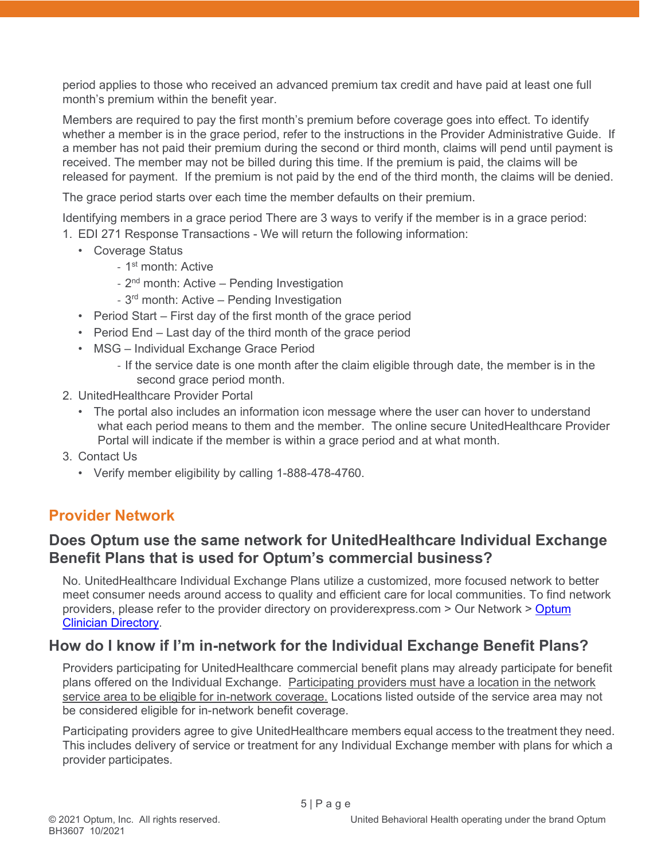period applies to those who received an advanced premium tax credit and have paid at least one full month's premium within the benefit year.

Members are required to pay the first month's premium before coverage goes into effect. To identify whether a member is in the grace period, refer to the instructions in the Provider Administrative Guide. If a member has not paid their premium during the second or third month, claims will pend until payment is received. The member may not be billed during this time. If the premium is paid, the claims will be released for payment. If the premium is not paid by the end of the third month, the claims will be denied.

The grace period starts over each time the member defaults on their premium.

Identifying members in a grace period There are 3 ways to verify if the member is in a grace period:

- 1. EDI 271 Response Transactions We will return the following information:
	- Coverage Status
		- 1<sup>st</sup> month: Active
		- 2<sup>nd</sup> month: Active Pending Investigation
		- 3<sup>rd</sup> month: Active Pending Investigation
	- Period Start First day of the first month of the grace period
	- Period End Last day of the third month of the grace period
	- MSG Individual Exchange Grace Period
		- If the service date is one month after the claim eligible through date, the member is in the second grace period month.
- 2. UnitedHealthcare Provider Portal
	- The portal also includes an information icon message where the user can hover to understand what each period means to them and the member. The online secure UnitedHealthcare Provider Portal will indicate if the member is within a grace period and at what month.
- 3. Contact Us
	- Verify member eligibility by calling 1-888-478-4760.

#### **Provider Network**

#### **Does Optum use the same network for UnitedHealthcare Individual Exchange Benefit Plans that is used for Optum's commercial business?**

No. UnitedHealthcare Individual Exchange Plans utilize a customized, more focused network to better meet consumer needs around access to quality and efficient care for local communities. To find network providers, please refer to the provider directory on providerexpress.com > Our Network > [Optum](https://www.providerexpress.com/content/ope-provexpr/us/en/our-network.html)  [Clinician Directory.](https://www.providerexpress.com/content/ope-provexpr/us/en/our-network.html)

#### **How do I know if I'm in-network for the Individual Exchange Benefit Plans?**

Providers participating for UnitedHealthcare commercial benefit plans may already participate for benefit plans offered on the Individual Exchange. Participating providers must have a location in the network service area to be eligible for in-network coverage. Locations listed outside of the service area may not be considered eligible for in-network benefit coverage.

Participating providers agree to give UnitedHealthcare members equal access to the treatment they need. This includes delivery of service or treatment for any Individual Exchange member with plans for which a provider participates.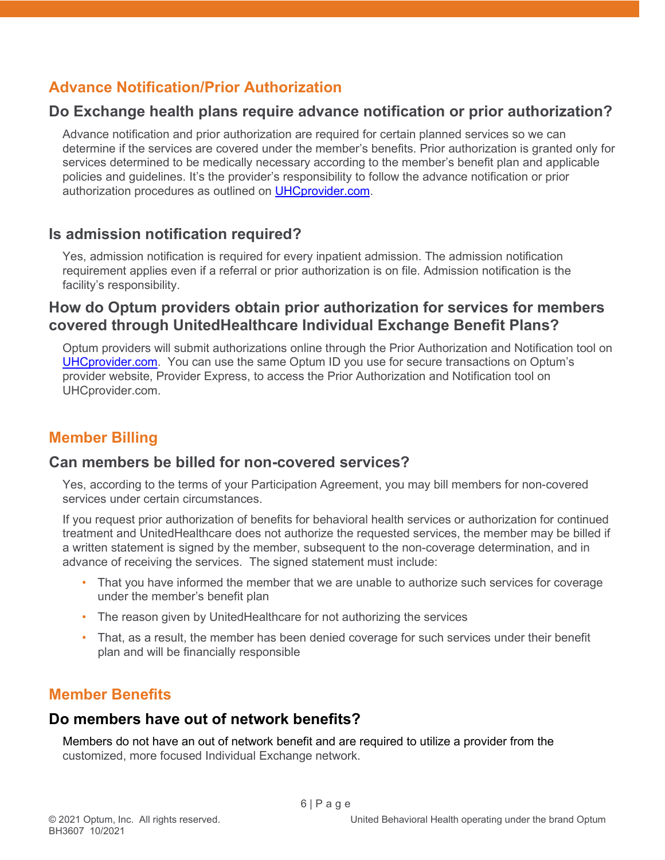### **Advance Notification/Prior Authorization**

#### **Do Exchange health plans require advance notification or prior authorization?**

Advance notification and prior authorization are required for certain planned services so we can determine if the services are covered under the member's benefits. Prior authorization is granted only for services determined to be medically necessary according to the member's benefit plan and applicable policies and guidelines. It's the provider's responsibility to follow the advance notification or prior authorization procedures as outlined on [UHCprovider.com.](https://www.uhcprovider.com/en/prior-auth-advance-notification.html)

#### **Is admission notification required?**

Yes, admission notification is required for every inpatient admission. The admission notification requirement applies even if a referral or prior authorization is on file. Admission notification is the facility's responsibility.

#### **How do Optum providers obtain prior authorization for services for members covered through UnitedHealthcare Individual Exchange Benefit Plans?**

Optum providers will submit authorizations online through the Prior Authorization and Notification tool on [UHCprovider.com.](https://www.uhcprovider.com/en/prior-auth-advance-notification.html) You can use the same Optum ID you use for secure transactions on Optum's provider website, Provider Express, to access the Prior Authorization and Notification tool on UHCprovider.com.

### **Member Billing**

#### **Can members be billed for non-covered services?**

Yes, according to the terms of your Participation Agreement, you may bill members for non-covered services under certain circumstances.

If you request prior authorization of benefits for behavioral health services or authorization for continued treatment and UnitedHealthcare does not authorize the requested services, the member may be billed if a written statement is signed by the member, subsequent to the non-coverage determination, and in advance of receiving the services. The signed statement must include:

- That you have informed the member that we are unable to authorize such services for coverage under the member's benefit plan
- The reason given by UnitedHealthcare for not authorizing the services
- That, as a result, the member has been denied coverage for such services under their benefit plan and will be financially responsible

### **Member Benefits**

#### **Do members have out of network benefits?**

Members do not have an out of network benefit and are required to utilize a provider from the customized, more focused Individual Exchange network.